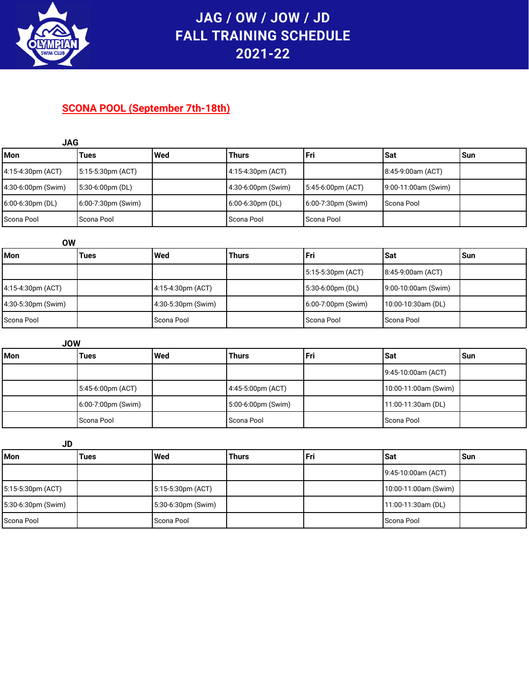

# JAG / OW / JOW / JD **FALL TRAINING SCHEDULE** 2021-22

### **SCONA POOL (September 7th-18th)**

| <b>JAG</b>          |                    |     |                        |                      |                        |       |
|---------------------|--------------------|-----|------------------------|----------------------|------------------------|-------|
| <b>Mon</b>          | Tues               | Wed | <b>Thurs</b>           | Fri                  | <b>ISat</b>            | l Sun |
| 4:15-4:30pm (ACT)   | 5:15-5:30pm (ACT)  |     | $(4:15-4:30pm (ACT))$  |                      | 8:45-9:00am (ACT)      |       |
| 4:30-6:00pm (Swim)  | 5:30-6:00pm (DL)   |     | $(4:30-6:00pm (Swim))$ | $15:45-6:00pm (ACT)$ | $(9:00-11:00am(Swim))$ |       |
| $6:00-6:30$ pm (DL) | 6:00-7:30pm (Swim) |     | $ 6:00-6:30$ pm (DL)   | 6:00-7:30pm (Swim)   | Scona Pool             |       |
| Scona Pool          | Scona Pool         |     | l Scona Pool           | Scona Pool           |                        |       |

| OW                 |      |                     |              |                       |                     |       |
|--------------------|------|---------------------|--------------|-----------------------|---------------------|-------|
| l Mon              | Tues | l Wed               | <b>Thurs</b> | l Fri                 | l Sat               | l Sun |
|                    |      |                     |              | $5:15-5:30pm (ACT)$   | $8:45-9:00am (ACT)$ |       |
| 4:15-4:30pm (ACT)  |      | $4:15-4:30pm (ACT)$ |              | $5:30-6:00pm$ (DL)    | 9:00-10:00am (Swim) |       |
| 4:30-5:30pm (Swim) |      | 4:30-5:30pm (Swim)  |              | $6:00-7:00$ pm (Swim) | 10:00-10:30am (DL)  |       |
| Scona Pool         |      | Scona Pool          |              | Scona Pool            | Scona Pool          |       |

| <b>JOW</b> |                     |       |                       |       |                      |     |
|------------|---------------------|-------|-----------------------|-------|----------------------|-----|
| Mon        | <b>Tues</b>         | l Wed | <b>Thurs</b>          | l Fri | l Sat                | Sun |
|            |                     |       |                       |       | $9:45-10:00am (ACT)$ |     |
|            | $5:45-6:00pm (ACT)$ |       | $4:45-5:00pm (ACT)$   |       | 10:00-11:00am (Swim) |     |
|            | 6:00-7:00pm (Swim)  |       | $5:00-6:00$ pm (Swim) |       | 11:00-11:30am (DL)   |     |
|            | Scona Pool          |       | Scona Pool            |       | l Scona Pool         |     |

| <b>JD</b>          |      |                      |              |       |                      |       |
|--------------------|------|----------------------|--------------|-------|----------------------|-------|
| l Mon              | Tues | l Wed                | <b>Thurs</b> | l Fri | <b>ISat</b>          | l Sun |
|                    |      |                      |              |       | 9:45-10:00am (ACT)   |       |
| 5:15-5:30pm (ACT)  |      | 5:15-5:30pm (ACT)    |              |       | 10:00-11:00am (Swim) |       |
| 5:30-6:30pm (Swim) |      | $5:30-6:30pm$ (Swim) |              |       | 11:00-11:30am (DL)   |       |
| Scona Pool         |      | Scona Pool           |              |       | Scona Pool           |       |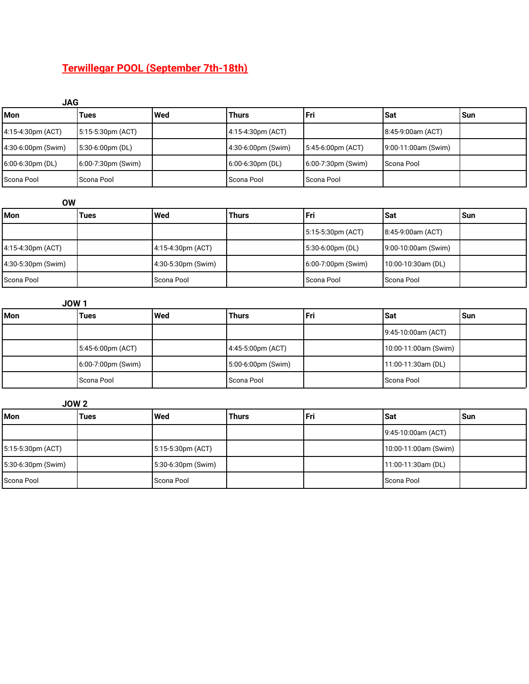## **Terwillegar POOL (September 7th-18th)**

| <b>JAG</b>          |                    |     |                    |                    |                     |       |
|---------------------|--------------------|-----|--------------------|--------------------|---------------------|-------|
| <b>Mon</b>          | Tues               | Wed | <b>Thurs</b>       | l Fri              | <b>Sat</b>          | l Sun |
| 4:15-4:30pm (ACT)   | 5:15-5:30pm (ACT)  |     | 4:15-4:30pm (ACT)  |                    | 8:45-9:00am (ACT)   |       |
| 4:30-6:00pm (Swim)  | 5:30-6:00pm (DL)   |     | 4:30-6:00pm (Swim) | 5:45-6:00pm (ACT)  | 9:00-11:00am (Swim) |       |
| $6:00-6:30$ pm (DL) | 6:00-7:30pm (Swim) |     | 6:00-6:30pm (DL)   | 6:00-7:30pm (Swim) | <b>Scona Pool</b>   |       |
| Scona Pool          | Scona Pool         |     | Scona Pool         | Scona Pool         |                     |       |

| ΟW                 |      |                      |              |                     |                     |       |
|--------------------|------|----------------------|--------------|---------------------|---------------------|-------|
| l Mon              | Tues | l Wed                | <b>Thurs</b> | Fri                 | <b>Sat</b>          | l Sun |
|                    |      |                      |              | $5:15-5:30pm (ACT)$ | 8:45-9:00am (ACT)   |       |
| 4:15-4:30pm (ACT)  |      | $4:15-4:30pm (ACT)$  |              | 5:30-6:00pm (DL)    | 9:00-10:00am (Swim) |       |
| 4:30-5:30pm (Swim) |      | $4:30-5:30pm$ (Swim) |              | 6:00-7:00pm (Swim)  | 10:00-10:30am (DL)  |       |
| Scona Pool         |      | l Scona Pool         |              | l Scona Pool        | Scona Pool          |       |

| <b>JOW1</b> |                       |       |                    |     |                      |     |
|-------------|-----------------------|-------|--------------------|-----|----------------------|-----|
| <b>Mon</b>  | Tues                  | l Wed | Thurs              | Fri | <b>Sat</b>           | Sun |
|             |                       |       |                    |     | 9:45-10:00am (ACT)   |     |
|             | 5:45-6:00pm (ACT)     |       | 4:45-5:00pm (ACT)  |     | 10:00-11:00am (Swim) |     |
|             | $6:00-7:00$ pm (Swim) |       | 5:00-6:00pm (Swim) |     | $11:00-11:30am(DL)$  |     |
|             | Scona Pool            |       | Scona Pool         |     | Scona Pool           |     |

**JOW 2**

| <b>Mon</b>         | Tues | l Wed                 | <b>Thurs</b> | Fri | l Sat                | l Sun |
|--------------------|------|-----------------------|--------------|-----|----------------------|-------|
|                    |      |                       |              |     | $9:45-10:00am (ACT)$ |       |
| 5:15-5:30pm (ACT)  |      | $ 5:15-5:30$ pm (ACT) |              |     | 10:00-11:00am (Swim) |       |
| 5:30-6:30pm (Swim) |      | $5:30-6:30pm$ (Swim)  |              |     | $11:00-11:30am(DL)$  |       |
| Scona Pool         |      | Scona Pool            |              |     | l Scona Pool         |       |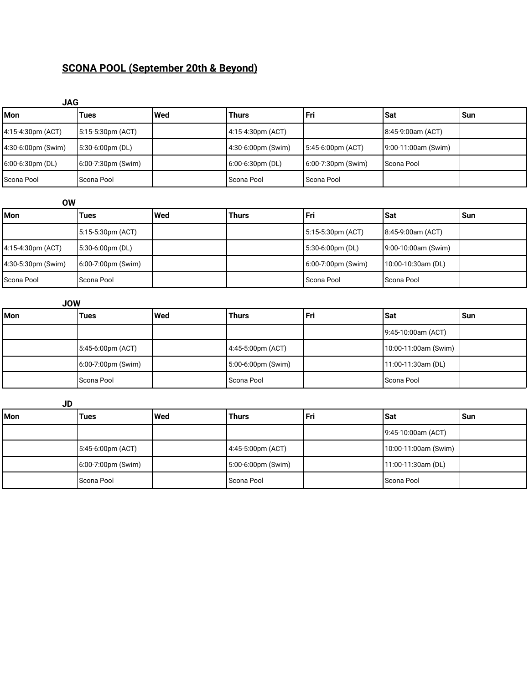#### **SCONA POOL (September 20th & Beyond)**

| <b>JAG</b>          |                    |     |                        |                      |                        |       |
|---------------------|--------------------|-----|------------------------|----------------------|------------------------|-------|
| <b>Mon</b>          | Tues               | Wed | <b>Thurs</b>           | Fri                  | <b>ISat</b>            | l Sun |
| 4:15-4:30pm (ACT)   | 5:15-5:30pm (ACT)  |     | $(4:15-4:30pm (ACT))$  |                      | $8:45-9:00am (ACT)$    |       |
| 4:30-6:00pm (Swim)  | 5:30-6:00pm (DL)   |     | $(4:30-6:00pm (Swim))$ | $15:45-6:00pm (ACT)$ | $(9:00-11:00am(Swim))$ |       |
| $6:00-6:30$ pm (DL) | 6:00-7:30pm (Swim) |     | $ 6:00-6:30$ pm (DL)   | 6:00-7:30pm (Swim)   | Scona Pool             |       |
| Scona Pool          | Scona Pool         |     | l Scona Pool           | Scona Pool           |                        |       |

| OW                 |                       |     |       |                       |                     |       |
|--------------------|-----------------------|-----|-------|-----------------------|---------------------|-------|
| <b>Mon</b>         | Tues                  | Wed | Thurs | Fri                   | l Sat               | l Sun |
|                    | $5:15-5:30pm (ACT)$   |     |       | 5:15-5:30pm (ACT)     | $8:45-9:00am (ACT)$ |       |
| 4:15-4:30pm (ACT)  | $5:30-6:00pm (DL)$    |     |       | 5:30-6:00pm (DL)      | 9:00-10:00am (Swim) |       |
| 4:30-5:30pm (Swim) | $6:00-7:00$ pm (Swim) |     |       | $6:00-7:00$ pm (Swim) | 10:00-10:30am (DL)  |       |
| <b>Scona Pool</b>  | Scona Pool            |     |       | l Scona Pool          | Scona Pool          |       |

| <b>JOW</b> |                     |       |                    |     |                      |       |
|------------|---------------------|-------|--------------------|-----|----------------------|-------|
| <b>Mon</b> | Tues                | l Wed | Thurs              | Fri | <b>Sat</b>           | l Sun |
|            |                     |       |                    |     | 9:45-10:00am (ACT)   |       |
|            | $5:45-6:00pm (ACT)$ |       | 4:45-5:00pm (ACT)  |     | 10:00-11:00am (Swim) |       |
|            | 6:00-7:00pm (Swim)  |       | 5:00-6:00pm (Swim) |     | 11:00-11:30am (DL)   |       |
|            | Scona Pool          |       | Scona Pool         |     | Scona Pool           |       |

**JD Mon Tues Wed Thurs Fri Sat Sun** 9:45-10:00am (ACT) 5:45-6:00pm (ACT) 4:45-5:00pm (ACT) 10:00-11:00am (Swim) 6:00-7:00pm (Swim) 5:00-6:00pm (Swim) 11:00-11:30am (DL) Scona Pool Scona Pool Scona Pool Scona Pool Scona Pool Scona Pool Scona Pool Scona Pool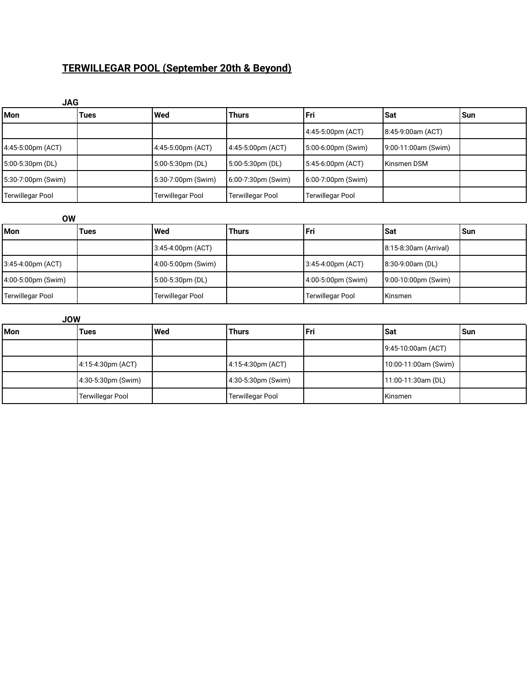### **TERWILLEGAR POOL (September 20th & Beyond)**

| <b>JAG</b>              |             |                    |                         |                         |                     |     |
|-------------------------|-------------|--------------------|-------------------------|-------------------------|---------------------|-----|
| Mon                     | <b>Tues</b> | <b>Wed</b>         | Thurs                   | l Fri                   | <b>ISat</b>         | Sun |
|                         |             |                    |                         | 4:45-5:00pm (ACT)       | 8:45-9:00am (ACT)   |     |
| 4:45-5:00pm (ACT)       |             | 4:45-5:00pm (ACT)  | 4:45-5:00pm (ACT)       | 5:00-6:00pm (Swim)      | 9:00-11:00am (Swim) |     |
| 5:00-5:30pm (DL)        |             | 5:00-5:30pm (DL)   | 5:00-5:30pm (DL)        | 5:45-6:00pm (ACT)       | Kinsmen DSM         |     |
| 5:30-7:00pm (Swim)      |             | 5:30-7:00pm (Swim) | 6:00-7:30pm (Swim)      | 6:00-7:00pm (Swim)      |                     |     |
| <b>Terwillegar Pool</b> |             | Terwillegar Pool   | <b>Terwillegar Pool</b> | <b>Terwillegar Pool</b> |                     |     |

| <b>OW</b>               |      |                         |       |                         |                         |       |
|-------------------------|------|-------------------------|-------|-------------------------|-------------------------|-------|
| <b>Mon</b>              | Tues | Wed                     | Thurs | l Fri                   | l Sat                   | l Sun |
|                         |      | $3:45-4:00pm (ACT)$     |       |                         | 8:15-8:30am (Arrival)   |       |
| 3:45-4:00pm (ACT)       |      | $(4:00-5:00pm$ (Swim)   |       | 3:45-4:00pm (ACT)       | $ 8:30-9:00$ am (DL)    |       |
| 4:00-5:00pm (Swim)      |      | 5:00-5:30pm (DL)        |       | 4:00-5:00pm (Swim)      | $(9:00-10:00$ pm (Swim) |       |
| <b>Terwillegar Pool</b> |      | <b>Terwillegar Pool</b> |       | <b>Terwillegar Pool</b> | Kinsmen                 |       |

| <b>JOW</b> |                         |       |                         |       |                      |       |
|------------|-------------------------|-------|-------------------------|-------|----------------------|-------|
| <b>Mon</b> | <b>Tues</b>             | l Wed | <b>Thurs</b>            | l Fri | <b>Sat</b>           | l Sun |
|            |                         |       |                         |       | $9:45-10:00am (ACT)$ |       |
|            | $4:15-4:30pm (ACT)$     |       | $4:15-4:30pm (ACT)$     |       | 10:00-11:00am (Swim) |       |
|            | $4:30-5:30pm$ (Swim)    |       | 4:30-5:30pm (Swim)      |       | $11:00-11:30am(DL)$  |       |
|            | <b>Terwillegar Pool</b> |       | <b>Terwillegar Pool</b> |       | Kinsmen              |       |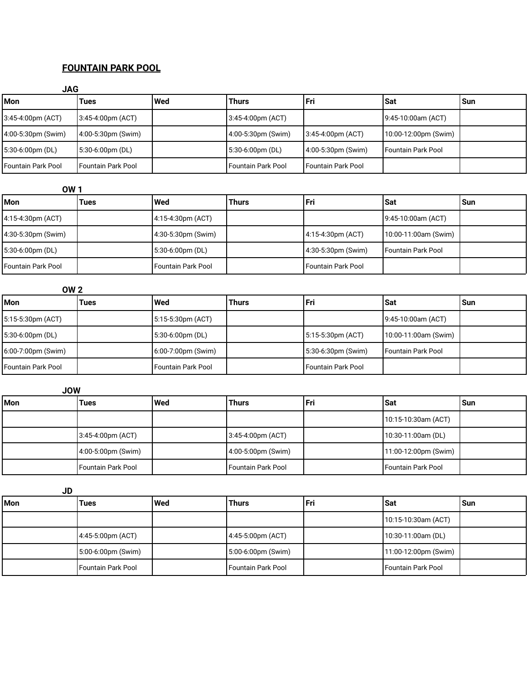#### **FOUNTAIN PARK POOL**

| <b>JAG</b>         |                      |     |                      |                      |                      |       |
|--------------------|----------------------|-----|----------------------|----------------------|----------------------|-------|
| Mon                | Tues                 | Wed | <b>Thurs</b>         | Fri                  | l Sat                | l Sun |
| 3:45-4:00pm (ACT)  | 3:45-4:00pm (ACT)    |     | 3:45-4:00pm (ACT)    |                      | 9:45-10:00am (ACT)   |       |
| 4:00-5:30pm (Swim) | 4:00-5:30pm (Swim)   |     | 4:00-5:30pm (Swim)   | 3:45-4:00pm (ACT)    | 10:00-12:00pm (Swim) |       |
| 5:30-6:00pm (DL)   | 5:30-6:00pm (DL)     |     | 5:30-6:00pm (DL)     | 4:00-5:30pm (Swim)   | l Fountain Park Pool |       |
| Fountain Park Pool | l Fountain Park Pool |     | l Fountain Park Pool | l Fountain Park Pool |                      |       |

| <b>OW1</b>           |      |                           |              |                      |                           |     |
|----------------------|------|---------------------------|--------------|----------------------|---------------------------|-----|
| l Mon                | Tues | l Wed                     | <b>Thurs</b> | l Fri                | Sat                       | Sun |
| 4:15-4:30pm (ACT)    |      | $4:15-4:30pm (ACT)$       |              |                      | 9:45-10:00am (ACT)        |     |
| 4:30-5:30pm (Swim)   |      | $4:30-5:30pm$ (Swim)      |              | $4:15-4:30pm (ACT)$  | 10:00-11:00am (Swim)      |     |
| 5:30-6:00pm (DL)     |      | 5:30-6:00pm (DL)          |              | 4:30-5:30pm (Swim)   | <b>Fountain Park Pool</b> |     |
| l Fountain Park Pool |      | <b>Fountain Park Pool</b> |              | l Fountain Park Pool |                           |     |

| <b>OW 2</b>        |      |                           |              |                     |                           |       |
|--------------------|------|---------------------------|--------------|---------------------|---------------------------|-------|
| <b>Mon</b>         | Tues | l Wed                     | <b>Thurs</b> | Fri                 | ∣Sat                      | l Sun |
| 5:15-5:30pm (ACT)  |      | $5:15-5:30pm (ACT)$       |              |                     | 9:45-10:00am (ACT)        |       |
| 5:30-6:00pm (DL)   |      | 5:30-6:00pm (DL)          |              | $5:15-5:30pm (ACT)$ | 10:00-11:00am (Swim)      |       |
| 6:00-7:00pm (Swim) |      | $6:00-7:00$ pm (Swim)     |              | 5:30-6:30pm (Swim)  | <b>Fountain Park Pool</b> |       |
| Fountain Park Pool |      | <b>Fountain Park Pool</b> |              | Fountain Park Pool  |                           |       |

| <b>JOW</b> |                               |     |                       |       |                         |       |
|------------|-------------------------------|-----|-----------------------|-------|-------------------------|-------|
| <b>Mon</b> | Tues                          | Wed | <b>Thurs</b>          | l Fri | <b>ISat</b>             | l Sun |
|            |                               |     |                       |       | $10:15-10:30am (ACT)$   |       |
|            | $3:45-4:00pm (ACT)$           |     | $3:45-4:00pm (ACT)$   |       | 10:30-11:00am (DL)      |       |
|            | $(4:00-5:00 \text{pm}$ (Swim) |     | $(4:00-5:00pm$ (Swim) |       | $11:00-12:00$ pm (Swim) |       |
|            | <b>Fountain Park Pool</b>     |     | l Fountain Park Pool  |       | Fountain Park Pool      |       |

| <b>JD</b> |                      |       |                    |       |                      |     |
|-----------|----------------------|-------|--------------------|-------|----------------------|-----|
| l Mon     | <b>Tues</b>          | l Wed | <b>Thurs</b>       | l Fri | <b>ISat</b>          | Sun |
|           |                      |       |                    |       | 10:15-10:30am (ACT)  |     |
|           | 4:45-5:00pm (ACT)    |       | 4:45-5:00pm (ACT)  |       | 10:30-11:00am (DL)   |     |
|           | 5:00-6:00pm (Swim)   |       | 5:00-6:00pm (Swim) |       | 11:00-12:00pm (Swim) |     |
|           | l Fountain Park Pool |       | Fountain Park Pool |       | Fountain Park Pool   |     |